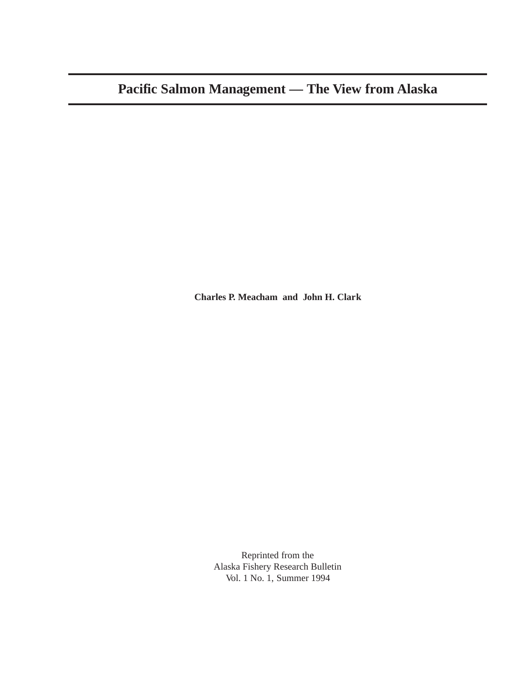**Charles P. Meacham and John H. Clark**

Reprinted from the Alaska Fishery Research Bulletin Vol. 1 No. 1, Summer 1994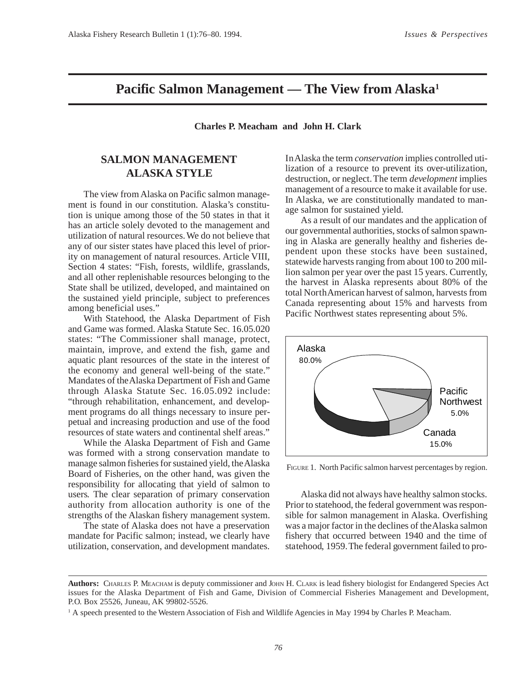## **Pacific Salmon Management — The View from Alaska1**

**Charles P. Meacham and John H. Clark**

## **SALMON MANAGEMENT ALASKA STYLE**

The view from Alaska on Pacific salmon management is found in our constitution. Alaska's constitution is unique among those of the 50 states in that it has an article solely devoted to the management and utilization of natural resources. We do not believe that any of our sister states have placed this level of priority on management of natural resources. Article VIII, Section 4 states: "Fish, forests, wildlife, grasslands, and all other replenishable resources belonging to the State shall be utilized, developed, and maintained on the sustained yield principle, subject to preferences among beneficial uses."

With Statehood, the Alaska Department of Fish and Game was formed. Alaska Statute Sec. 16.05.020 states: "The Commissioner shall manage, protect, maintain, improve, and extend the fish, game and aquatic plant resources of the state in the interest of the economy and general well-being of the state." Mandates of the Alaska Department of Fish and Game through Alaska Statute Sec. 16.05.092 include: "through rehabilitation, enhancement, and development programs do all things necessary to insure perpetual and increasing production and use of the food resources of state waters and continental shelf areas."

While the Alaska Department of Fish and Game was formed with a strong conservation mandate to manage salmon fisheries for sustained yield, the Alaska Board of Fisheries, on the other hand, was given the responsibility for allocating that yield of salmon to users. The clear separation of primary conservation authority from allocation authority is one of the strengths of the Alaskan fishery management system.

The state of Alaska does not have a preservation mandate for Pacific salmon; instead, we clearly have utilization, conservation, and development mandates. In Alaska the term *conservation* implies controlled utilization of a resource to prevent its over-utilization, destruction, or neglect. The term *development* implies management of a resource to make it available for use. In Alaska, we are constitutionally mandated to manage salmon for sustained yield.

As a result of our mandates and the application of our governmental authorities, stocks of salmon spawning in Alaska are generally healthy and fisheries dependent upon these stocks have been sustained, statewide harvests ranging from about 100 to 200 million salmon per year over the past 15 years. Currently, the harvest in Alaska represents about 80% of the total North American harvest of salmon, harvests from Canada representing about 15% and harvests from Pacific Northwest states representing about 5%.



FIGURE 1. North Pacific salmon harvest percentages by region.

Alaska did not always have healthy salmon stocks. Prior to statehood, the federal government was responsible for salmon management in Alaska. Overfishing was a major factor in the declines of the Alaska salmon fishery that occurred between 1940 and the time of statehood, 1959. The federal government failed to pro-

**Authors:**CHARLES P. MEACHAM is deputy commissioner and JOHN H. CLARK is lead fishery biologist for Endangered Species Act issues for the Alaska Department of Fish and Game, Division of Commercial Fisheries Management and Development, P.O. Box 25526, Juneau, AK 99802-5526.

<sup>&</sup>lt;sup>1</sup> A speech presented to the Western Association of Fish and Wildlife Agencies in May 1994 by Charles P. Meacham.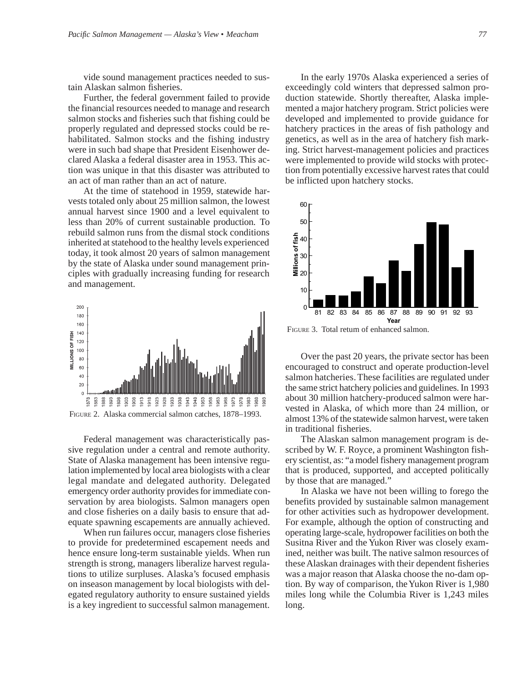vide sound management practices needed to sustain Alaskan salmon fisheries.

Further, the federal government failed to provide the financial resources needed to manage and research salmon stocks and fisheries such that fishing could be properly regulated and depressed stocks could be rehabilitated. Salmon stocks and the fishing industry were in such bad shape that President Eisenhower declared Alaska a federal disaster area in 1953. This action was unique in that this disaster was attributed to an act of man rather than an act of nature.

At the time of statehood in 1959, statewide harvests totaled only about 25 million salmon, the lowest annual harvest since 1900 and a level equivalent to less than 20% of current sustainable production. To rebuild salmon runs from the dismal stock conditions inherited at statehood to the healthy levels experienced today, it took almost 20 years of salmon management by the state of Alaska under sound management principles with gradually increasing funding for research and management.



Federal management was characteristically passive regulation under a central and remote authority. State of Alaska management has been intensive regulation implemented by local area biologists with a clear legal mandate and delegated authority. Delegated emergency order authority provides for immediate conservation by area biologists. Salmon managers open and close fisheries on a daily basis to ensure that adequate spawning escapements are annually achieved.

When run failures occur, managers close fisheries to provide for predetermined escapement needs and hence ensure long-term sustainable yields. When run strength is strong, managers liberalize harvest regulations to utilize surpluses. Alaska's focused emphasis on inseason management by local biologists with delegated regulatory authority to ensure sustained yields is a key ingredient to successful salmon management.

In the early 1970s Alaska experienced a series of exceedingly cold winters that depressed salmon production statewide. Shortly thereafter, Alaska implemented a major hatchery program. Strict policies were developed and implemented to provide guidance for hatchery practices in the areas of fish pathology and genetics, as well as in the area of hatchery fish marking. Strict harvest-management policies and practices were implemented to provide wild stocks with protection from potentially excessive harvest rates that could be inflicted upon hatchery stocks.



FIGURE 3. Total return of enhanced salmon.

Over the past 20 years, the private sector has been encouraged to construct and operate production-level salmon hatcheries. These facilities are regulated under the same strict hatchery policies and guidelines. In 1993 about 30 million hatchery-produced salmon were harvested in Alaska, of which more than 24 million, or almost 13% of the statewide salmon harvest, were taken in traditional fisheries.

The Alaskan salmon management program is described by W. F. Royce, a prominent Washington fishery scientist, as: "a model fishery management program that is produced, supported, and accepted politically by those that are managed."

In Alaska we have not been willing to forego the benefits provided by sustainable salmon management for other activities such as hydropower development. For example, although the option of constructing and operating large-scale, hydropower facilities on both the Susitna River and the Yukon River was closely examined, neither was built. The native salmon resources of these Alaskan drainages with their dependent fisheries was a major reason that Alaska choose the no-dam option. By way of comparison, the Yukon River is 1,980 miles long while the Columbia River is 1,243 miles long.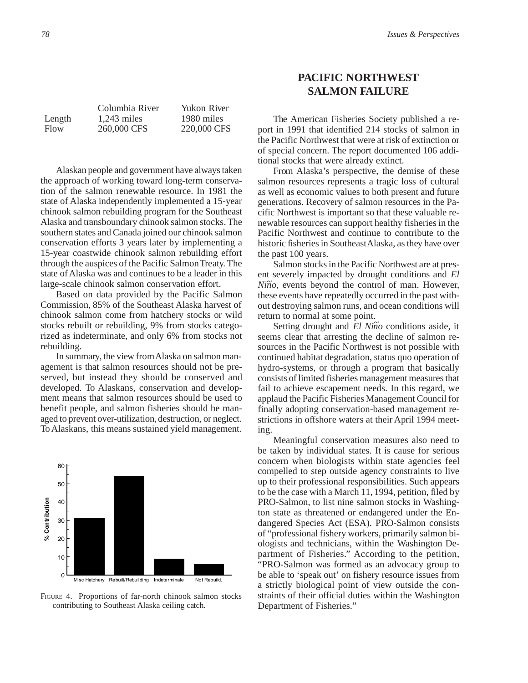Alaskan people and government have always taken the approach of working toward long-term conservation of the salmon renewable resource. In 1981 the state of Alaska independently implemented a 15-year chinook salmon rebuilding program for the Southeast Alaska and transboundary chinook salmon stocks. The southern states and Canada joined our chinook salmon conservation efforts 3 years later by implementing a 15-year coastwide chinook salmon rebuilding effort through the auspices of the Pacific Salmon Treaty. The state of Alaska was and continues to be a leader in this large-scale chinook salmon conservation effort.

Based on data provided by the Pacific Salmon Commission, 85% of the Southeast Alaska harvest of chinook salmon come from hatchery stocks or wild stocks rebuilt or rebuilding, 9% from stocks categorized as indeterminate, and only 6% from stocks not rebuilding.

In summary, the view from Alaska on salmon management is that salmon resources should not be preserved, but instead they should be conserved and developed. To Alaskans, conservation and development means that salmon resources should be used to benefit people, and salmon fisheries should be managed to prevent over-utilization, destruction, or neglect. To Alaskans, this means sustained yield management.



FIGURE 4. Proportions of far-north chinook salmon stocks contributing to Southeast Alaska ceiling catch.

## **PACIFIC NORTHWEST SALMON FAILURE**

The American Fisheries Society published a report in 1991 that identified 214 stocks of salmon in the Pacific Northwest that were at risk of extinction or of special concern. The report documented 106 additional stocks that were already extinct.

From Alaska's perspective, the demise of these salmon resources represents a tragic loss of cultural as well as economic values to both present and future generations. Recovery of salmon resources in the Pacific Northwest is important so that these valuable renewable resources can support healthy fisheries in the Pacific Northwest and continue to contribute to the historic fisheries in Southeast Alaska, as they have over the past 100 years.

Salmon stocks in the Pacific Northwest are at present severely impacted by drought conditions and *El Niño*, events beyond the control of man. However, these events have repeatedly occurred in the past without destroying salmon runs, and ocean conditions will return to normal at some point.

Setting drought and *El Niño* conditions aside, it seems clear that arresting the decline of salmon resources in the Pacific Northwest is not possible with continued habitat degradation, status quo operation of hydro-systems, or through a program that basically consists of limited fisheries management measures that fail to achieve escapement needs. In this regard, we applaud the Pacific Fisheries Management Council for finally adopting conservation-based management restrictions in offshore waters at their April 1994 meeting.

Meaningful conservation measures also need to be taken by individual states. It is cause for serious concern when biologists within state agencies feel compelled to step outside agency constraints to live up to their professional responsibilities. Such appears to be the case with a March 11, 1994, petition, filed by PRO-Salmon, to list nine salmon stocks in Washington state as threatened or endangered under the Endangered Species Act (ESA). PRO-Salmon consists of "professional fishery workers, primarily salmon biologists and technicians, within the Washington Department of Fisheries." According to the petition, "PRO-Salmon was formed as an advocacy group to be able to 'speak out' on fishery resource issues from a strictly biological point of view outside the constraints of their official duties within the Washington Department of Fisheries."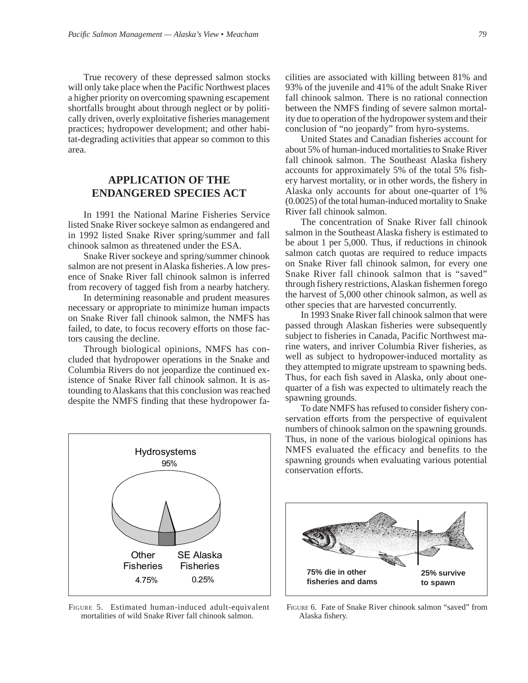True recovery of these depressed salmon stocks will only take place when the Pacific Northwest places a higher priority on overcoming spawning escapement shortfalls brought about through neglect or by politically driven, overly exploitative fisheries management practices; hydropower development; and other habitat-degrading activities that appear so common to this area.

## **APPLICATION OF THE ENDANGERED SPECIES ACT**

In 1991 the National Marine Fisheries Service listed Snake River sockeye salmon as endangered and in 1992 listed Snake River spring/summer and fall chinook salmon as threatened under the ESA.

Snake River sockeye and spring/summer chinook salmon are not present in Alaska fisheries. A low presence of Snake River fall chinook salmon is inferred from recovery of tagged fish from a nearby hatchery.

In determining reasonable and prudent measures necessary or appropriate to minimize human impacts on Snake River fall chinook salmon, the NMFS has failed, to date, to focus recovery efforts on those factors causing the decline.

Through biological opinions, NMFS has concluded that hydropower operations in the Snake and Columbia Rivers do not jeopardize the continued existence of Snake River fall chinook salmon. It is astounding to Alaskans that this conclusion was reached despite the NMFS finding that these hydropower fa-



FIGURE 5. Estimated human-induced adult-equivalent mortalities of wild Snake River fall chinook salmon.

cilities are associated with killing between 81% and 93% of the juvenile and 41% of the adult Snake River fall chinook salmon. There is no rational connection between the NMFS finding of severe salmon mortality due to operation of the hydropower system and their conclusion of "no jeopardy" from hyro-systems.

United States and Canadian fisheries account for about 5% of human-induced mortalities to Snake River fall chinook salmon. The Southeast Alaska fishery accounts for approximately 5% of the total 5% fishery harvest mortality, or in other words, the fishery in Alaska only accounts for about one-quarter of 1% (0.0025) of the total human-induced mortality to Snake River fall chinook salmon.

The concentration of Snake River fall chinook salmon in the Southeast Alaska fishery is estimated to be about 1 per 5,000. Thus, if reductions in chinook salmon catch quotas are required to reduce impacts on Snake River fall chinook salmon, for every one Snake River fall chinook salmon that is "saved" through fishery restrictions, Alaskan fishermen forego the harvest of 5,000 other chinook salmon, as well as other species that are harvested concurrently.

In 1993 Snake River fall chinook salmon that were passed through Alaskan fisheries were subsequently subject to fisheries in Canada, Pacific Northwest marine waters, and inriver Columbia River fisheries, as well as subject to hydropower-induced mortality as they attempted to migrate upstream to spawning beds. Thus, for each fish saved in Alaska, only about onequarter of a fish was expected to ultimately reach the spawning grounds.

To date NMFS has refused to consider fishery conservation efforts from the perspective of equivalent numbers of chinook salmon on the spawning grounds. Thus, in none of the various biological opinions has NMFS evaluated the efficacy and benefits to the spawning grounds when evaluating various potential conservation efforts.



FIGURE 6. Fate of Snake River chinook salmon "saved" from Alaska fishery.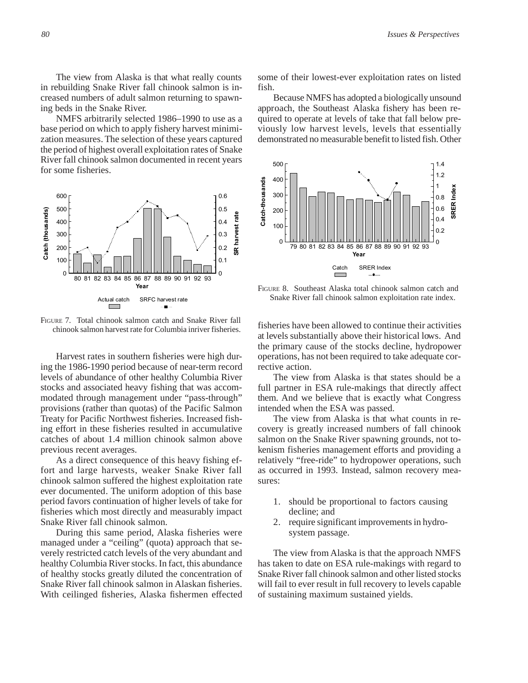The view from Alaska is that what really counts in rebuilding Snake River fall chinook salmon is increased numbers of adult salmon returning to spawning beds in the Snake River.

NMFS arbitrarily selected 1986–1990 to use as a base period on which to apply fishery harvest minimization measures. The selection of these years captured the period of highest overall exploitation rates of Snake River fall chinook salmon documented in recent years for some fisheries.



FIGURE 7. Total chinook salmon catch and Snake River fall chinook salmon harvest rate for Columbia inriver fisheries.

Harvest rates in southern fisheries were high during the 1986-1990 period because of near-term record levels of abundance of other healthy Columbia River stocks and associated heavy fishing that was accommodated through management under "pass-through" provisions (rather than quotas) of the Pacific Salmon Treaty for Pacific Northwest fisheries. Increased fishing effort in these fisheries resulted in accumulative catches of about 1.4 million chinook salmon above previous recent averages.

As a direct consequence of this heavy fishing effort and large harvests, weaker Snake River fall chinook salmon suffered the highest exploitation rate ever documented. The uniform adoption of this base period favors continuation of higher levels of take for fisheries which most directly and measurably impact Snake River fall chinook salmon.

During this same period, Alaska fisheries were managed under a "ceiling" (quota) approach that severely restricted catch levels of the very abundant and healthy Columbia River stocks. In fact, this abundance of healthy stocks greatly diluted the concentration of Snake River fall chinook salmon in Alaskan fisheries. With ceilinged fisheries, Alaska fishermen effected some of their lowest-ever exploitation rates on listed fish.

Because NMFS has adopted a biologically unsound approach, the Southeast Alaska fishery has been required to operate at levels of take that fall below previously low harvest levels, levels that essentially demonstrated no measurable benefit to listed fish. Other



FIGURE 8. Southeast Alaska total chinook salmon catch and Snake River fall chinook salmon exploitation rate index.

fisheries have been allowed to continue their activities at levels substantially above their historical lows. And the primary cause of the stocks decline, hydropower operations, has not been required to take adequate corrective action.

The view from Alaska is that states should be a full partner in ESA rule-makings that directly affect them. And we believe that is exactly what Congress intended when the ESA was passed.

The view from Alaska is that what counts in recovery is greatly increased numbers of fall chinook salmon on the Snake River spawning grounds, not tokenism fisheries management efforts and providing a relatively "free-ride" to hydropower operations, such as occurred in 1993. Instead, salmon recovery measures:

- 1. should be proportional to factors causing decline; and
- 2. require significant improvements in hydrosystem passage.

The view from Alaska is that the approach NMFS has taken to date on ESA rule-makings with regard to Snake River fall chinook salmon and other listed stocks will fail to ever result in full recovery to levels capable of sustaining maximum sustained yields.